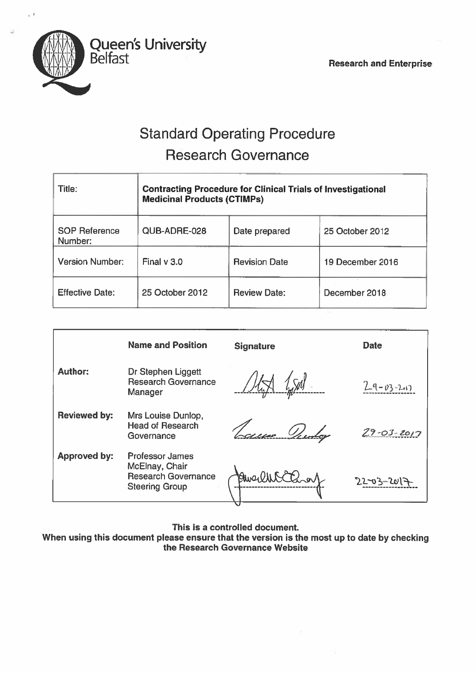

# Standard Operating Procedure Research Governance

| Title:                          | <b>Contracting Procedure for Clinical Trials of Investigational</b><br><b>Medicinal Products (CTIMPs)</b> |                      |                  |
|---------------------------------|-----------------------------------------------------------------------------------------------------------|----------------------|------------------|
| <b>SOP Reference</b><br>Number: | QUB-ADRE-028                                                                                              | Date prepared        | 25 October 2012  |
| <b>Version Number:</b>          | Final $v$ 3.0                                                                                             | <b>Revision Date</b> | 19 December 2016 |
| <b>Effective Date:</b>          | 25 October 2012                                                                                           | <b>Review Date:</b>  | December 2018    |

|                     | <b>Name and Position</b>                                                                        | <b>Signature</b> | <b>Date</b>      |
|---------------------|-------------------------------------------------------------------------------------------------|------------------|------------------|
| <b>Author:</b>      | Dr Stephen Liggett<br><b>Research Governance</b><br>Manager                                     |                  | $2-9-03-2-17$    |
| <b>Reviewed by:</b> | Mrs Louise Dunlop,<br><b>Head of Research</b><br>Governance                                     |                  | $29 - 03 - 2017$ |
| <b>Approved by:</b> | <b>Professor James</b><br>McElnay, Chair<br><b>Research Governance</b><br><b>Steering Group</b> |                  | $22 - 03 - 20$   |

This is <sup>a</sup> controlled document.

When using this document <sup>p</sup>lease ensure that the version is the most up to date by checking the Research Governance Website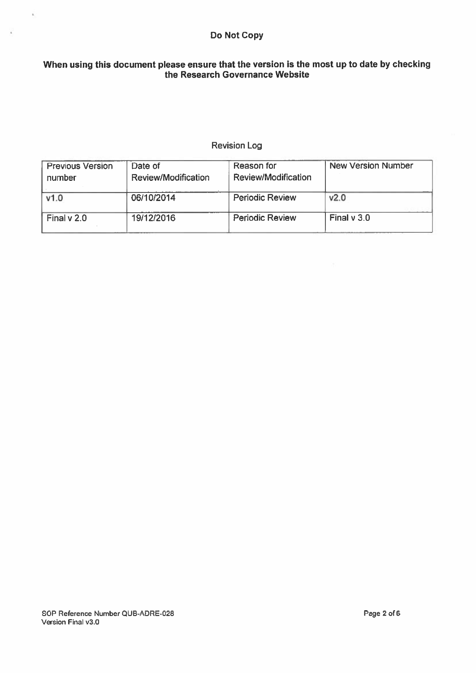# Do Not Copy

# When using this document please ensure that the version is the most up to date by checking the Research Governance Website

# Revision Log

| <b>Previous Version</b><br>number | Date of<br>Review/Modification | Reason for<br>Review/Modification | <b>New Version Number</b> |
|-----------------------------------|--------------------------------|-----------------------------------|---------------------------|
| V1.0                              | 06/10/2014                     | <b>Periodic Review</b>            | V <sub>2.0</sub>          |
| Final $v$ 2.0                     | 19/12/2016                     | <b>Periodic Review</b>            | Final $v$ 3.0             |

 $\vec{k}_\perp$ 

 $\overline{k}$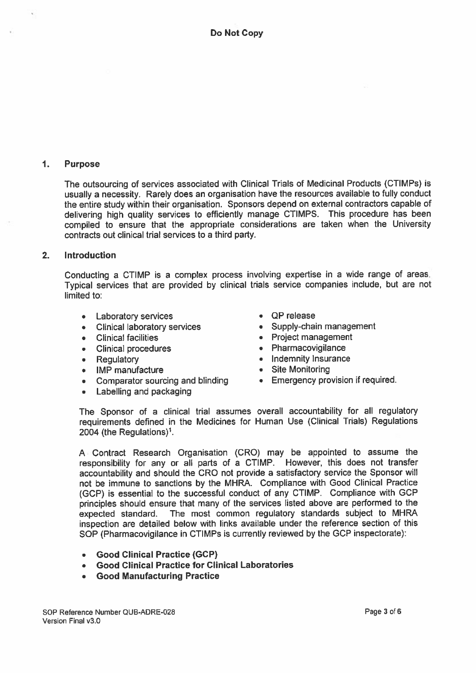#### $\mathbf{1}$ Purpose

The outsourcing of services associated with Clinical Trials of Medicinal Products (CTIMPs) is usually <sup>a</sup> necessity. Rarely does an organisation have the resources available to fully conduct the entire study within their organisation. Sponsors depend on external contractors capable of delivering high quality services to efficiently manage CTIMPS. This procedure has been compiled to ensure that the appropriate considerations are taken when the University contracts out clinical trial services to <sup>a</sup> third party.

#### 2. Introduction

Conducting <sup>a</sup> CTIMP is <sup>a</sup> complex process involving expertise in <sup>a</sup> wide range of areas. Typical services that are provided by clinical trials service companies include, but are not limited to:

- Laboratory services
- Clinical laboratory services
- Clinical facilities
- Clinical procedures
- Regulatory
- IMP manufacture
- Comparator sourcing and blinding Emergency provision if required.
- •Labelling and packaging
- QP release
- Supply-chain managemen<sup>t</sup>
- Project managemen<sup>t</sup>
- Pharmacovigilance
- Indemnity Insurance
- Site Monitoring
- 

The Sponsor of <sup>a</sup> clinical trial assumes overall accountability for all regulatory requirements defined in the Medicines for Human Use (Clinical Trials) Regulations 2004 (the Regulations)<sup>1</sup>.

<sup>A</sup> Contract Research Organisation (CRC) may be appointed to assume the responsibility for any or all parts of <sup>a</sup> CTIMP. However, this does not transfer accountability and should the CRC not provide <sup>a</sup> satisfactory service the Sponsor will not be immune to sanctions by the MHRA. Compliance with Good Clinical Practice (GCP) is essential to the successful conduct of any CTIMP. Compliance with GCP principles should ensure that many of the services listed above are performed to the expected standard. The most common regulatory standards subject to MHRA inspection are detailed below with links available under the reference section of this SOP (Pharmacovigilance in CTIMPs is currently reviewed by the GCP inspectorate):

- •Good Clinical Practice (GCP)
- Good Clinical Practice for Clinical Laboratories
- Good Manufacturing Practice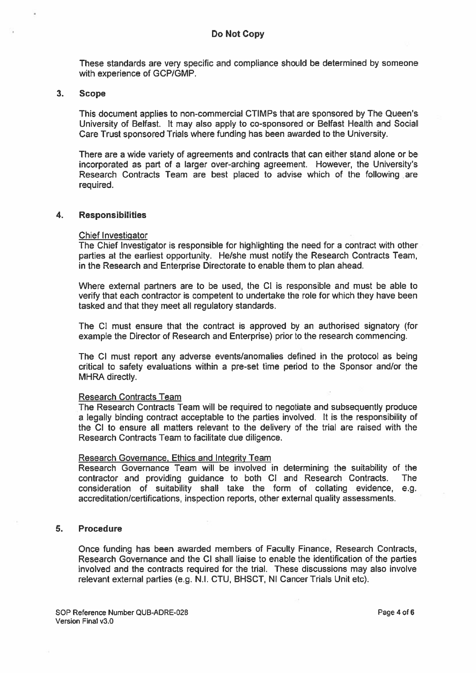These standards are very specific and compliance should be determined by someone with experience of GCP/GMP.

### 3. Scope

This document applies to non-commercial CTIMPs that are sponsored by The Queen's University of Belfast. It may also apply to co-sponsored or Belfast Health and Social Care Trust sponsored Trials where funding has been awarded to the University.

There are <sup>a</sup> wide variety of agreements and contracts that can either stand alone or be incorporated as par<sup>t</sup> of <sup>a</sup> larger over-arching agreement. However, the University's Research Contracts Team are best placed to advise which of the following are required.

#### 4. Responsibilities

#### Chief Investigator

The Chief Investigator is responsible for highlighting the need for <sup>a</sup> contract with other parties at the earliest opportunity. He/she must notify the Research Contracts Team, in the Research and Enterprise Directorate to enable them to plan ahead.

Where external partners are to be used, the Cl is responsible and must be able to verify that each contractor is competent to undertake the role for which they have been tasked and that they meet all regulatory standards.

The Cl must ensure that the contract is approved by an authorised signatory (for example the Director of Research and Enterprise) prior to the research commencing.

The Cl must repor<sup>t</sup> any adverse events/anomalies defined in the protocol as being critical to safety evaluations within <sup>a</sup> pre-se<sup>t</sup> time period to the Sponsor and/or the MHRA directly.

#### Research Contracts Team

The Research Contracts Team will be required to negotiate and subsequently produce <sup>a</sup> legally binding contract acceptable to the parties involved. It is the responsibility of the Cl to ensure all matters relevant to the delivery of the trial are raised with the Research Contracts Team to facilitate due diligence.

#### Research Governance, Ethics and Integrity Team

Research Governance Team will be involved in determining the suitability of the contractor and providing guidance to both Cl and Research Contracts. The consideration of suitability shall take the form of collating evidence, e.g. accreditation/certifications, inspection reports, other external quality assessments.

#### 5. Procedure

Once funding has been awarded members of Faculty Finance, Research Contracts, Research Governance and the Cl shall liaise to enable the identification of the parties involved and the contracts required for the trial. These discussions may also involve relevant external parties (e.g. N.I. CTU, BHSCT, NI Cancer Trials Unit etc).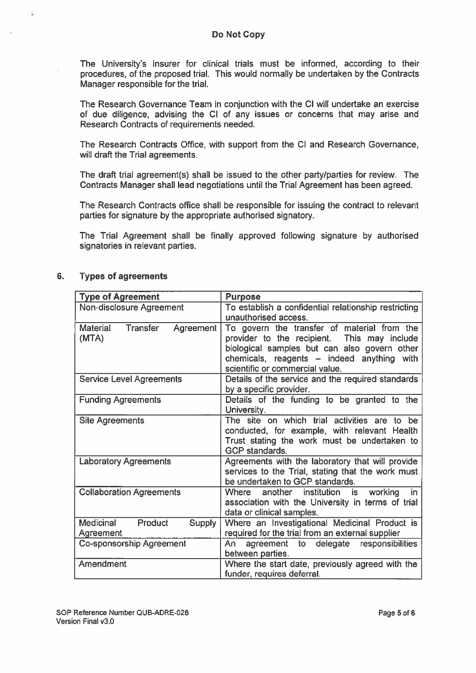The University's insurer for clinical trials must be informed, according to their procedures, of the proposed trial. This would normally be undertaken by the Contracts Manager responsible for the trial.

The Research Governance Team in conjunction with the Cl will undertake an exercise of due diligence, advising the Cl of any issues or concerns that may arise and Research Contracts of requirements needed.

The Research Contracts Office, with suppor<sup>t</sup> from the Cl and Research Governance, will draft the Trial agreements.

The draft trial agreement(s) shall be issued to the other party/parties for review. The Contracts Manager shall lead negotiations until the Trial Agreement has been agreed.

The Research Contracts office shall be responsible for issuing the contract to relevant parties for signature by the appropriate authorised signatory.

The Trial Agreement shall be finally approved following signature by authorised signatories in relevant parties.

| <b>Type of Agreement</b>                                         | <b>Purpose</b>                                                                                                                                                                                                              |
|------------------------------------------------------------------|-----------------------------------------------------------------------------------------------------------------------------------------------------------------------------------------------------------------------------|
| Non-disclosure Agreement                                         | To establish a confidential relationship restricting<br>unauthorised access.                                                                                                                                                |
| <b>Material</b><br>Transfer<br>Agreement<br>(MTA)                | To govern the transfer of material from the<br>provider to the recipient. This may include<br>biological samples but can also govern other<br>chemicals, reagents - indeed anything with<br>scientific or commercial value. |
| <b>Service Level Agreements</b>                                  | Details of the service and the required standards<br>by a specific provider.                                                                                                                                                |
| <b>Funding Agreements</b>                                        | Details of the funding to be granted to the<br>University.                                                                                                                                                                  |
| <b>Site Agreements</b>                                           | The site on which trial activities are to be<br>conducted, for example, with relevant Health<br>Trust stating the work must be undertaken to<br><b>GCP</b> standards.                                                       |
| <b>Laboratory Agreements</b>                                     | Agreements with the laboratory that will provide<br>services to the Trial, stating that the work must<br>be undertaken to GCP standards.                                                                                    |
| <b>Collaboration Agreements</b>                                  | Where another institution is working<br>in.<br>association with the University in terms of trial<br>data or clinical samples.                                                                                               |
| <b>Medicinal</b><br><b>Product</b><br><b>Supply</b><br>Agreement | Where an Investigational Medicinal Product is<br>required for the trial from an external supplier                                                                                                                           |
| Co-sponsorship Agreement                                         | agreement to delegate responsibilities<br>An i<br>between parties.                                                                                                                                                          |
| Amendment                                                        | Where the start date, previously agreed with the<br>funder, requires deferral.                                                                                                                                              |

## 6. Types of agreements